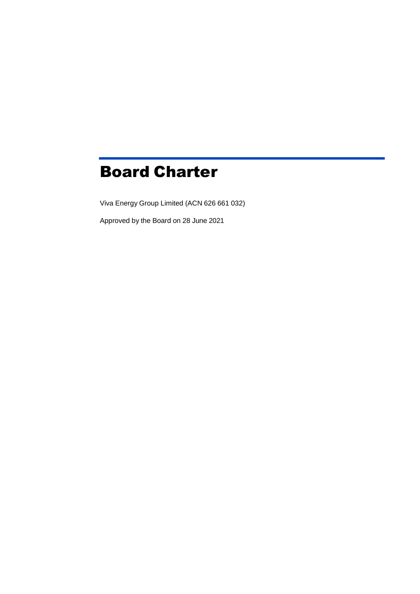# Board Charter

Viva Energy Group Limited (ACN 626 661 032)

Approved by the Board on 28 June 2021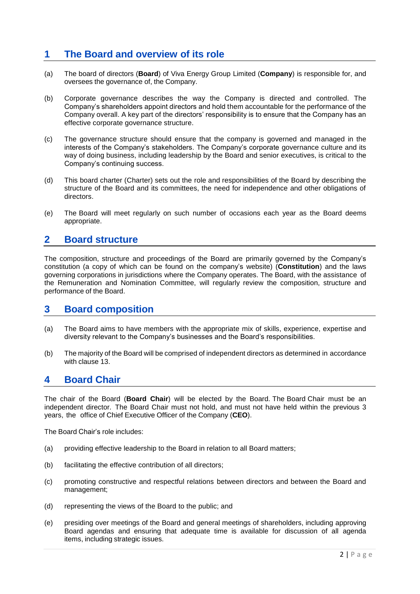# **1 The Board and overview of its role**

- (a) The board of directors (**Board**) of Viva Energy Group Limited (**Company**) is responsible for, and oversees the governance of, the Company.
- (b) Corporate governance describes the way the Company is directed and controlled. The Company's shareholders appoint directors and hold them accountable for the performance of the Company overall. A key part of the directors' responsibility is to ensure that the Company has an effective corporate governance structure.
- (c) The governance structure should ensure that the company is governed and managed in the interests of the Company's stakeholders. The Company's corporate governance culture and its way of doing business, including leadership by the Board and senior executives, is critical to the Company's continuing success.
- (d) This board charter (Charter) sets out the role and responsibilities of the Board by describing the structure of the Board and its committees, the need for independence and other obligations of directors.
- (e) The Board will meet regularly on such number of occasions each year as the Board deems appropriate.

#### **2 Board structure**

The composition, structure and proceedings of the Board are primarily governed by the Company's constitution (a copy of which can be found on the company's website) (**Constitution**) and the laws governing corporations in jurisdictions where the Company operates. The Board, with the assistance of the Remuneration and Nomination Committee, will regularly review the composition, structure and performance of the Board.

### **3 Board composition**

- (a) The Board aims to have members with the appropriate mix of skills, experience, expertise and diversity relevant to the Company's businesses and the Board's responsibilities.
- (b) The majority of the Board will be comprised of independent directors as determined in accordance with clause 13.

### **4 Board Chair**

The chair of the Board (**Board Chair**) will be elected by the Board. The Board Chair must be an independent director. The Board Chair must not hold, and must not have held within the previous 3 years, the office of Chief Executive Officer of the Company (**CEO**).

The Board Chair's role includes:

- (a) providing effective leadership to the Board in relation to all Board matters;
- (b) facilitating the effective contribution of all directors;
- (c) promoting constructive and respectful relations between directors and between the Board and management;
- (d) representing the views of the Board to the public; and
- (e) presiding over meetings of the Board and general meetings of shareholders, including approving Board agendas and ensuring that adequate time is available for discussion of all agenda items, including strategic issues.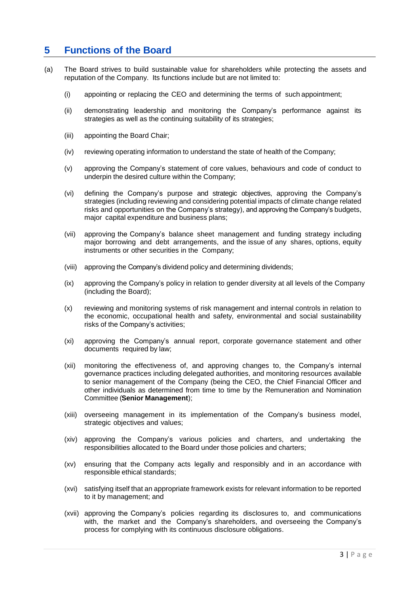# **5 Functions of the Board**

- (a) The Board strives to build sustainable value for shareholders while protecting the assets and reputation of the Company. Its functions include but are not limited to:
	- (i) appointing or replacing the CEO and determining the terms of such appointment;
	- (ii) demonstrating leadership and monitoring the Company's performance against its strategies as well as the continuing suitability of its strategies;
	- (iii) appointing the Board Chair;
	- (iv) reviewing operating information to understand the state of health of the Company;
	- (v) approving the Company's statement of core values, behaviours and code of conduct to underpin the desired culture within the Company;
	- (vi) defining the Company's purpose and strategic objectives, approving the Company's strategies (including reviewing and considering potential impacts of climate change related risks and opportunities on the Company's strategy), and approving the Company's budgets, major capital expenditure and business plans;
	- (vii) approving the Company's balance sheet management and funding strategy including major borrowing and debt arrangements, and the issue of any shares, options, equity instruments or other securities in the Company;
	- (viii) approving the Company's dividend policy and determining dividends;
	- (ix) approving the Company's policy in relation to gender diversity at all levels of the Company (including the Board);
	- (x) reviewing and monitoring systems of risk management and internal controls in relation to the economic, occupational health and safety, environmental and social sustainability risks of the Company's activities;
	- (xi) approving the Company's annual report, corporate governance statement and other documents required by law;
	- (xii) monitoring the effectiveness of, and approving changes to, the Company's internal governance practices including delegated authorities, and monitoring resources available to senior management of the Company (being the CEO, the Chief Financial Officer and other individuals as determined from time to time by the Remuneration and Nomination Committee (**Senior Management**);
	- (xiii) overseeing management in its implementation of the Company's business model, strategic objectives and values;
	- (xiv) approving the Company's various policies and charters, and undertaking the responsibilities allocated to the Board under those policies and charters;
	- (xv) ensuring that the Company acts legally and responsibly and in an accordance with responsible ethical standards;
	- (xvi) satisfying itself that an appropriate framework exists for relevant information to be reported to it by management; and
	- (xvii) approving the Company's policies regarding its disclosures to, and communications with, the market and the Company's shareholders, and overseeing the Company's process for complying with its continuous disclosure obligations.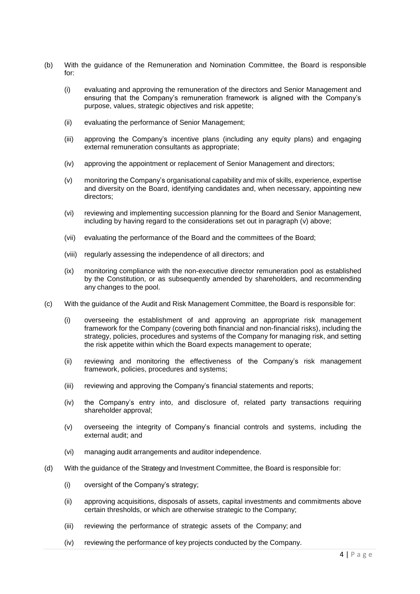- (b) With the guidance of the Remuneration and Nomination Committee, the Board is responsible for:
	- (i) evaluating and approving the remuneration of the directors and Senior Management and ensuring that the Company's remuneration framework is aligned with the Company's purpose, values, strategic objectives and risk appetite;
	- (ii) evaluating the performance of Senior Management;
	- (iii) approving the Company's incentive plans (including any equity plans) and engaging external remuneration consultants as appropriate;
	- (iv) approving the appointment or replacement of Senior Management and directors;
	- (v) monitoring the Company's organisational capability and mix of skills, experience, expertise and diversity on the Board, identifying candidates and, when necessary, appointing new directors;
	- (vi) reviewing and implementing succession planning for the Board and Senior Management, including by having regard to the considerations set out in paragraph (v) above;
	- (vii) evaluating the performance of the Board and the committees of the Board;
	- (viii) regularly assessing the independence of all directors; and
	- (ix) monitoring compliance with the non-executive director remuneration pool as established by the Constitution, or as subsequently amended by shareholders, and recommending any changes to the pool.
- (c) With the guidance of the Audit and Risk Management Committee, the Board is responsible for:
	- (i) overseeing the establishment of and approving an appropriate risk management framework for the Company (covering both financial and non-financial risks), including the strategy, policies, procedures and systems of the Company for managing risk, and setting the risk appetite within which the Board expects management to operate;
	- (ii) reviewing and monitoring the effectiveness of the Company's risk management framework, policies, procedures and systems;
	- (iii) reviewing and approving the Company's financial statements and reports;
	- (iv) the Company's entry into, and disclosure of, related party transactions requiring shareholder approval;
	- (v) overseeing the integrity of Company's financial controls and systems, including the external audit; and
	- (vi) managing audit arrangements and auditor independence.
- (d) With the guidance of the Strategy and Investment Committee, the Board is responsible for:
	- (i) oversight of the Company's strategy;
	- (ii) approving acquisitions, disposals of assets, capital investments and commitments above certain thresholds, or which are otherwise strategic to the Company;
	- (iii) reviewing the performance of strategic assets of the Company; and
	- (iv) reviewing the performance of key projects conducted by the Company.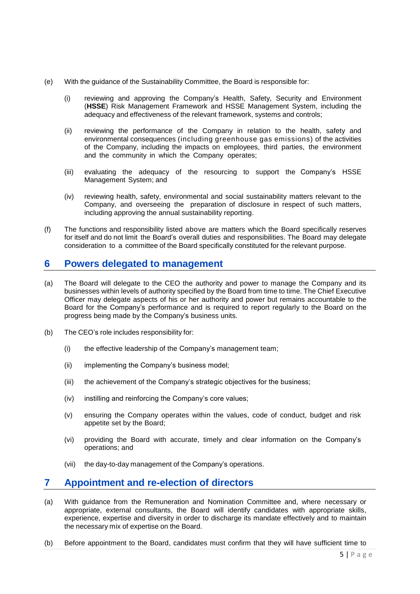- (e) With the guidance of the Sustainability Committee, the Board is responsible for:
	- (i) reviewing and approving the Company's Health, Safety, Security and Environment (**HSSE**) Risk Management Framework and HSSE Management System, including the adequacy and effectiveness of the relevant framework, systems and controls;
	- (ii) reviewing the performance of the Company in relation to the health, safety and environmental consequences (including greenhouse gas emissions) of the activities of the Company, including the impacts on employees, third parties, the environment and the community in which the Company operates;
	- (iii) evaluating the adequacy of the resourcing to support the Company's HSSE Management System; and
	- (iv) reviewing health, safety, environmental and social sustainability matters relevant to the Company, and overseeing the preparation of disclosure in respect of such matters, including approving the annual sustainability reporting.
- (f) The functions and responsibility listed above are matters which the Board specifically reserves for itself and do not limit the Board's overall duties and responsibilities. The Board may delegate consideration to a committee of the Board specifically constituted for the relevant purpose.

#### **6 Powers delegated to management**

- (a) The Board will delegate to the CEO the authority and power to manage the Company and its businesses within levels of authority specified by the Board from time to time. The Chief Executive Officer may delegate aspects of his or her authority and power but remains accountable to the Board for the Company's performance and is required to report regularly to the Board on the progress being made by the Company's business units.
- (b) The CEO's role includes responsibility for:
	- (i) the effective leadership of the Company's management team;
	- (ii) implementing the Company's business model;
	- (iii) the achievement of the Company's strategic objectives for the business;
	- (iv) instilling and reinforcing the Company's core values;
	- (v) ensuring the Company operates within the values, code of conduct, budget and risk appetite set by the Board;
	- (vi) providing the Board with accurate, timely and clear information on the Company's operations; and
	- (vii) the day-to-day management of the Company's operations.

# **7 Appointment and re-election of directors**

- (a) With guidance from the Remuneration and Nomination Committee and, where necessary or appropriate, external consultants, the Board will identify candidates with appropriate skills, experience, expertise and diversity in order to discharge its mandate effectively and to maintain the necessary mix of expertise on the Board.
- (b) Before appointment to the Board, candidates must confirm that they will have sufficient time to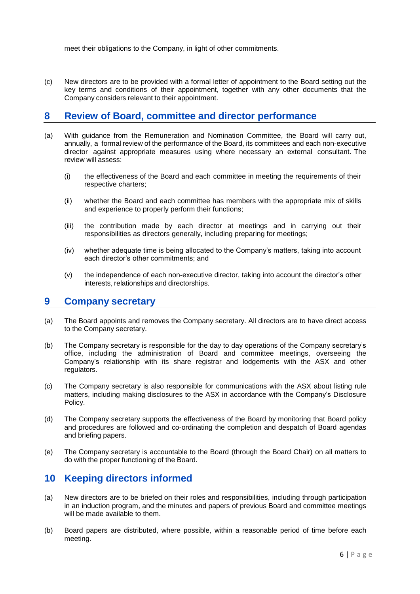meet their obligations to the Company, in light of other commitments.

(c) New directors are to be provided with a formal letter of appointment to the Board setting out the key terms and conditions of their appointment, together with any other documents that the Company considers relevant to their appointment.

### **8 Review of Board, committee and director performance**

- (a) With guidance from the Remuneration and Nomination Committee, the Board will carry out, annually, a formal review of the performance of the Board, its committees and each non-executive director against appropriate measures using where necessary an external consultant. The review will assess:
	- (i) the effectiveness of the Board and each committee in meeting the requirements of their respective charters;
	- (ii) whether the Board and each committee has members with the appropriate mix of skills and experience to properly perform their functions;
	- (iii) the contribution made by each director at meetings and in carrying out their responsibilities as directors generally, including preparing for meetings;
	- (iv) whether adequate time is being allocated to the Company's matters, taking into account each director's other commitments; and
	- (v) the independence of each non-executive director, taking into account the director's other interests, relationships and directorships.

#### **9 Company secretary**

- (a) The Board appoints and removes the Company secretary. All directors are to have direct access to the Company secretary.
- (b) The Company secretary is responsible for the day to day operations of the Company secretary's office, including the administration of Board and committee meetings, overseeing the Company's relationship with its share registrar and lodgements with the ASX and other regulators.
- (c) The Company secretary is also responsible for communications with the ASX about listing rule matters, including making disclosures to the ASX in accordance with the Company's Disclosure Policy.
- (d) The Company secretary supports the effectiveness of the Board by monitoring that Board policy and procedures are followed and co-ordinating the completion and despatch of Board agendas and briefing papers.
- (e) The Company secretary is accountable to the Board (through the Board Chair) on all matters to do with the proper functioning of the Board.

# **10 Keeping directors informed**

- (a) New directors are to be briefed on their roles and responsibilities, including through participation in an induction program, and the minutes and papers of previous Board and committee meetings will be made available to them.
- (b) Board papers are distributed, where possible, within a reasonable period of time before each meeting.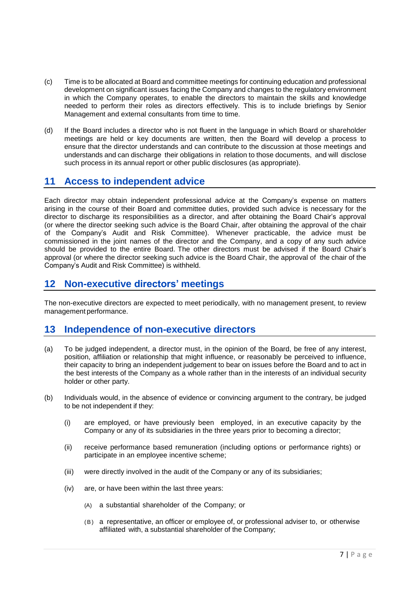- (c) Time is to be allocated at Board and committee meetings for continuing education and professional development on significant issues facing the Company and changes to the regulatory environment in which the Company operates, to enable the directors to maintain the skills and knowledge needed to perform their roles as directors effectively. This is to include briefings by Senior Management and external consultants from time to time.
- (d) If the Board includes a director who is not fluent in the language in which Board or shareholder meetings are held or key documents are written, then the Board will develop a process to ensure that the director understands and can contribute to the discussion at those meetings and understands and can discharge their obligations in relation to those documents, and will disclose such process in its annual report or other public disclosures (as appropriate).

# **11 Access to independent advice**

Each director may obtain independent professional advice at the Company's expense on matters arising in the course of their Board and committee duties, provided such advice is necessary for the director to discharge its responsibilities as a director, and after obtaining the Board Chair's approval (or where the director seeking such advice is the Board Chair, after obtaining the approval of the chair of the Company's Audit and Risk Committee). Whenever practicable, the advice must be commissioned in the joint names of the director and the Company, and a copy of any such advice should be provided to the entire Board. The other directors must be advised if the Board Chair's approval (or where the director seeking such advice is the Board Chair, the approval of the chair of the Company's Audit and Risk Committee) is withheld.

## **12 Non-executive directors' meetings**

The non-executive directors are expected to meet periodically, with no management present, to review management performance.

### **13 Independence of non-executive directors**

- (a) To be judged independent, a director must, in the opinion of the Board, be free of any interest, position, affiliation or relationship that might influence, or reasonably be perceived to influence, their capacity to bring an independent judgement to bear on issues before the Board and to act in the best interests of the Company as a whole rather than in the interests of an individual security holder or other party.
- (b) Individuals would, in the absence of evidence or convincing argument to the contrary, be judged to be not independent if they:
	- (i) are employed, or have previously been employed, in an executive capacity by the Company or any of its subsidiaries in the three years prior to becoming a director;
	- (ii) receive performance based remuneration (including options or performance rights) or participate in an employee incentive scheme;
	- (iii) were directly involved in the audit of the Company or any of its subsidiaries;
	- (iv) are, or have been within the last three years:
		- (A) a substantial shareholder of the Company; or
		- (B) a representative, an officer or employee of, or professional adviser to, or otherwise affiliated with, a substantial shareholder of the Company;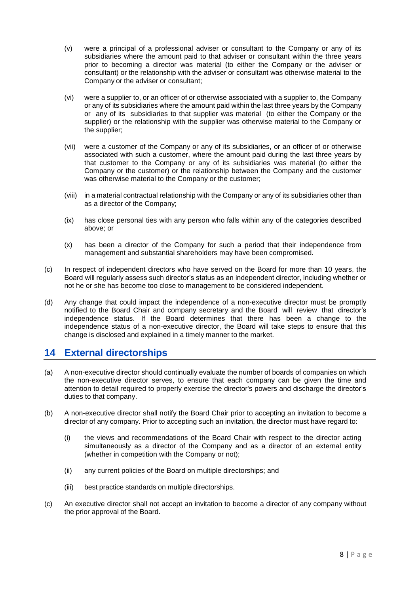- (v) were a principal of a professional adviser or consultant to the Company or any of its subsidiaries where the amount paid to that adviser or consultant within the three years prior to becoming a director was material (to either the Company or the adviser or consultant) or the relationship with the adviser or consultant was otherwise material to the Company or the adviser or consultant;
- (vi) were a supplier to, or an officer of or otherwise associated with a supplier to, the Company or any of its subsidiaries where the amount paid within the last three years by the Company or any of its subsidiaries to that supplier was material (to either the Company or the supplier) or the relationship with the supplier was otherwise material to the Company or the supplier;
- (vii) were a customer of the Company or any of its subsidiaries, or an officer of or otherwise associated with such a customer, where the amount paid during the last three years by that customer to the Company or any of its subsidiaries was material (to either the Company or the customer) or the relationship between the Company and the customer was otherwise material to the Company or the customer;
- (viii) in a material contractual relationship with the Company or any of its subsidiaries other than as a director of the Company;
- (ix) has close personal ties with any person who falls within any of the categories described above; or
- (x) has been a director of the Company for such a period that their independence from management and substantial shareholders may have been compromised.
- (c) In respect of independent directors who have served on the Board for more than 10 years, the Board will regularly assess such director's status as an independent director, including whether or not he or she has become too close to management to be considered independent.
- (d) Any change that could impact the independence of a non-executive director must be promptly notified to the Board Chair and company secretary and the Board will review that director's independence status. If the Board determines that there has been a change to the independence status of a non-executive director, the Board will take steps to ensure that this change is disclosed and explained in a timely manner to the market.

# **14 External directorships**

- (a) A non-executive director should continually evaluate the number of boards of companies on which the non-executive director serves, to ensure that each company can be given the time and attention to detail required to properly exercise the director's powers and discharge the director's duties to that company.
- (b) A non-executive director shall notify the Board Chair prior to accepting an invitation to become a director of any company. Prior to accepting such an invitation, the director must have regard to:
	- (i) the views and recommendations of the Board Chair with respect to the director acting simultaneously as a director of the Company and as a director of an external entity (whether in competition with the Company or not);
	- (ii) any current policies of the Board on multiple directorships; and
	- (iii) best practice standards on multiple directorships.
- (c) An executive director shall not accept an invitation to become a director of any company without the prior approval of the Board.